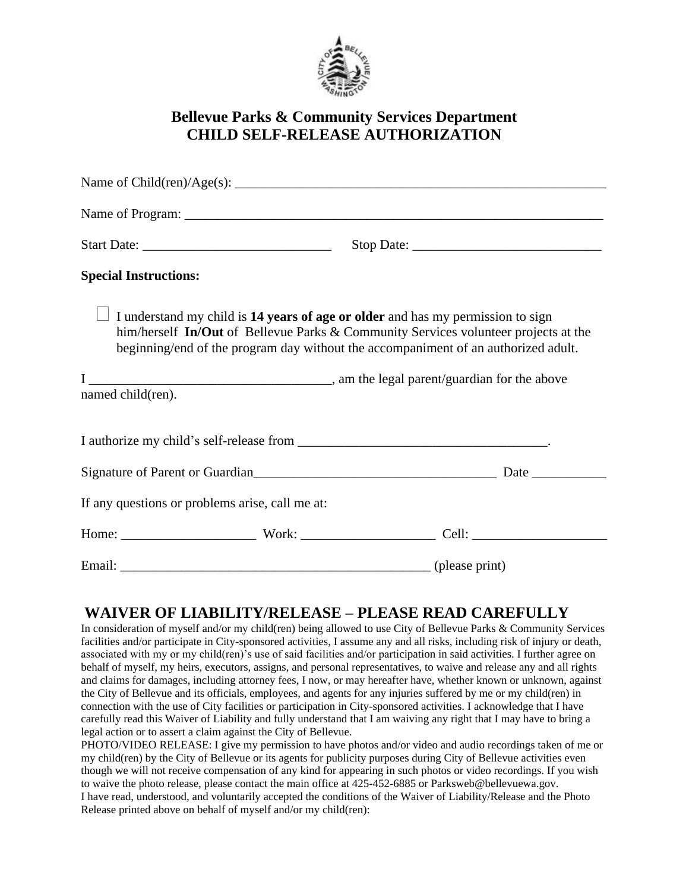

# **Bellevue Parks & Community Services Department CHILD SELF-RELEASE AUTHORIZATION**

| <b>Special Instructions:</b> |                                                 |                                                                                                                                                                                                                                                              |  |
|------------------------------|-------------------------------------------------|--------------------------------------------------------------------------------------------------------------------------------------------------------------------------------------------------------------------------------------------------------------|--|
|                              |                                                 | I understand my child is 14 years of age or older and has my permission to sign<br>him/herself In/Out of Bellevue Parks & Community Services volunteer projects at the<br>beginning/end of the program day without the accompaniment of an authorized adult. |  |
| named child(ren).            |                                                 |                                                                                                                                                                                                                                                              |  |
|                              |                                                 |                                                                                                                                                                                                                                                              |  |
|                              |                                                 |                                                                                                                                                                                                                                                              |  |
|                              | If any questions or problems arise, call me at: |                                                                                                                                                                                                                                                              |  |
|                              |                                                 |                                                                                                                                                                                                                                                              |  |
|                              |                                                 |                                                                                                                                                                                                                                                              |  |

# **WAIVER OF LIABILITY/RELEASE – PLEASE READ CAREFULLY**

In consideration of myself and/or my child(ren) being allowed to use City of Bellevue Parks & Community Services facilities and/or participate in City-sponsored activities, I assume any and all risks, including risk of injury or death, associated with my or my child(ren)'s use of said facilities and/or participation in said activities. I further agree on behalf of myself, my heirs, executors, assigns, and personal representatives, to waive and release any and all rights and claims for damages, including attorney fees, I now, or may hereafter have, whether known or unknown, against the City of Bellevue and its officials, employees, and agents for any injuries suffered by me or my child(ren) in connection with the use of City facilities or participation in City-sponsored activities. I acknowledge that I have carefully read this Waiver of Liability and fully understand that I am waiving any right that I may have to bring a legal action or to assert a claim against the City of Bellevue.

PHOTO/VIDEO RELEASE: I give my permission to have photos and/or video and audio recordings taken of me or my child(ren) by the City of Bellevue or its agents for publicity purposes during City of Bellevue activities even though we will not receive compensation of any kind for appearing in such photos or video recordings. If you wish to waive the photo release, please contact the main office at 425-452-6885 or Parksweb@bellevuewa.gov. I have read, understood, and voluntarily accepted the conditions of the Waiver of Liability/Release and the Photo Release printed above on behalf of myself and/or my child(ren):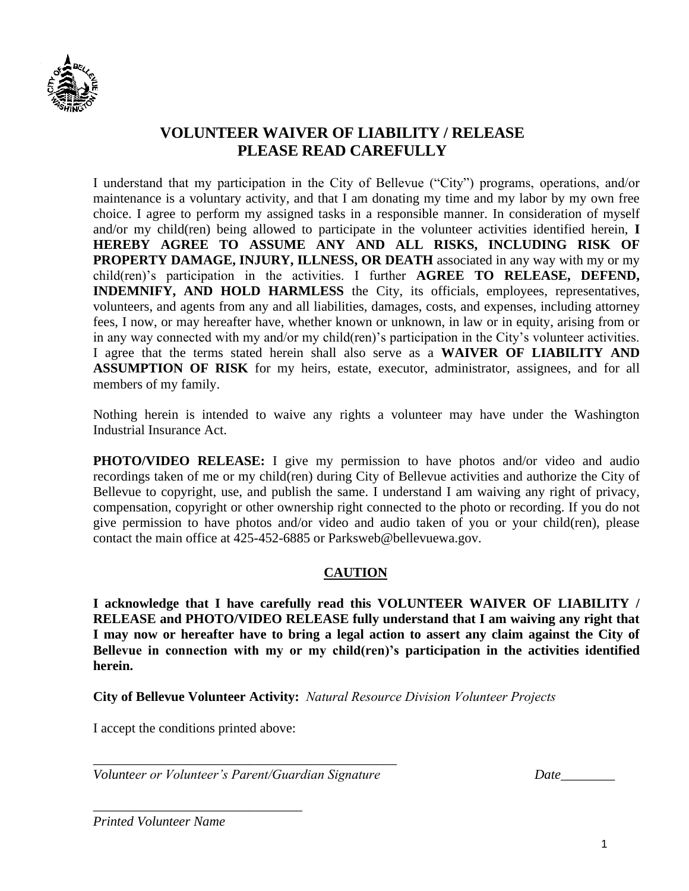

## **VOLUNTEER WAIVER OF LIABILITY / RELEASE PLEASE READ CAREFULLY**

I understand that my participation in the City of Bellevue ("City") programs, operations, and/or maintenance is a voluntary activity, and that I am donating my time and my labor by my own free choice. I agree to perform my assigned tasks in a responsible manner. In consideration of myself and/or my child(ren) being allowed to participate in the volunteer activities identified herein, **I HEREBY AGREE TO ASSUME ANY AND ALL RISKS, INCLUDING RISK OF PROPERTY DAMAGE, INJURY, ILLNESS, OR DEATH** associated in any way with my or my child(ren)'s participation in the activities. I further **AGREE TO RELEASE, DEFEND, INDEMNIFY, AND HOLD HARMLESS** the City, its officials, employees, representatives, volunteers, and agents from any and all liabilities, damages, costs, and expenses, including attorney fees, I now, or may hereafter have, whether known or unknown, in law or in equity, arising from or in any way connected with my and/or my child(ren)'s participation in the City's volunteer activities. I agree that the terms stated herein shall also serve as a **WAIVER OF LIABILITY AND ASSUMPTION OF RISK** for my heirs, estate, executor, administrator, assignees, and for all members of my family.

Nothing herein is intended to waive any rights a volunteer may have under the Washington Industrial Insurance Act.

**PHOTO/VIDEO RELEASE:** I give my permission to have photos and/or video and audio recordings taken of me or my child(ren) during City of Bellevue activities and authorize the City of Bellevue to copyright, use, and publish the same. I understand I am waiving any right of privacy, compensation, copyright or other ownership right connected to the photo or recording. If you do not give permission to have photos and/or video and audio taken of you or your child(ren), please contact the main office at 425-452-6885 or Parksweb@bellevuewa.gov.

#### **CAUTION**

**I acknowledge that I have carefully read this VOLUNTEER WAIVER OF LIABILITY / RELEASE and PHOTO/VIDEO RELEASE fully understand that I am waiving any right that I may now or hereafter have to bring a legal action to assert any claim against the City of Bellevue in connection with my or my child(ren)'s participation in the activities identified herein.** 

**City of Bellevue Volunteer Activity:** *Natural Resource Division Volunteer Projects*

I accept the conditions printed above:

*\_\_\_\_\_\_\_\_\_\_\_\_\_\_\_\_\_\_\_\_\_\_\_\_\_\_\_\_\_\_\_*

*\_\_\_\_\_\_\_\_\_\_\_\_\_\_\_\_\_\_\_\_\_\_\_\_\_\_\_\_\_\_\_\_\_\_\_\_\_\_\_\_\_\_\_\_\_ Volunteer or Volunteer's Parent/Guardian Signature Date\_\_\_\_\_\_\_\_*

*Printed Volunteer Name*